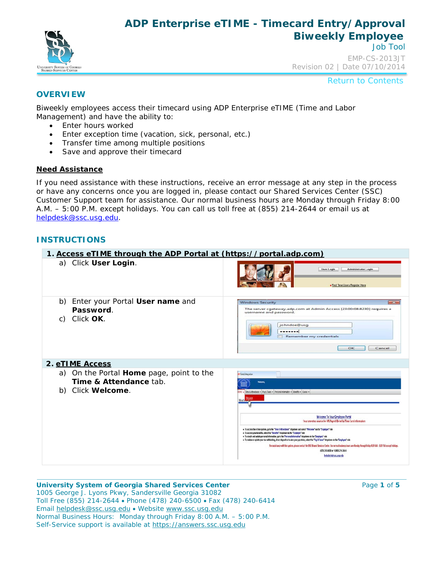

# **ADP Enterprise eTIME - Timecard Entry/Approval Biweekly Employee**

Job Tool EMP-CS-2013JT Revision 02 | Date 07/10/2014

Return to Contents

## **OVERVIEW**

Biweekly employees access their timecard using ADP Enterprise eTIME (Time and Labor Management) and have the ability to:

- Enter hours worked
- Enter exception time (vacation, sick, personal, etc.)
- Transfer time among multiple positions
- Save and approve their timecard

### **Need Assistance**

If you need assistance with these instructions, receive an error message at any step in the process or have any concerns once you are logged in, please contact our Shared Services Center (SSC) Customer Support team for assistance. Our normal business hours are Monday through Friday 8:00 A.M. – 5:00 P.M. except holidays. You can call us toll free at (855) 214-2644 or email us at [helpdesk@ssc.usg.edu.](mailto:helpdesk@ssc.usg.edu)

### **INSTRUCTIONS**

| 1. Access eTIME through the ADP Portal at (https://portal.adp.com)                         |                                                                                                                                                                                                                                                                                                                                                                                                                                                                                                                                                                                                                                                                                                                                                                                                                                                                                                                                                                  |  |  |  |
|--------------------------------------------------------------------------------------------|------------------------------------------------------------------------------------------------------------------------------------------------------------------------------------------------------------------------------------------------------------------------------------------------------------------------------------------------------------------------------------------------------------------------------------------------------------------------------------------------------------------------------------------------------------------------------------------------------------------------------------------------------------------------------------------------------------------------------------------------------------------------------------------------------------------------------------------------------------------------------------------------------------------------------------------------------------------|--|--|--|
| a) Click User Login.                                                                       | User Login<br>Administrator Login<br>First Time Users Register Here                                                                                                                                                                                                                                                                                                                                                                                                                                                                                                                                                                                                                                                                                                                                                                                                                                                                                              |  |  |  |
| b) Enter your Portal User name and<br>Password.<br>Click OK.<br>C)                         | <b>Windows Security</b><br>-936<br>The server cgateway.adp.com at Admin Access [23:00:08:8230] requires a<br>username and password.<br>johndoe@usg<br><br>Remember my credentials<br>OK<br>Cancel                                                                                                                                                                                                                                                                                                                                                                                                                                                                                                                                                                                                                                                                                                                                                                |  |  |  |
| 2. eTIME Access                                                                            |                                                                                                                                                                                                                                                                                                                                                                                                                                                                                                                                                                                                                                                                                                                                                                                                                                                                                                                                                                  |  |  |  |
| On the Portal Home page, point to the<br>a)<br>Time & Attendance tab.<br>b) Click Welcome. | <b>ID Fortal Integration</b><br>Welcome,<br>Porte - Time Automobile - Park Toes - Personal Internation - Benefits - Canex -<br>Welcome To Your Employee Portal<br>Your one-stop source for HR Payroll Benefits/Time Card information<br>. To access the elime system, go to the "Time & Attendance" dropdown and select "Welcome" via the "Employee" role<br>. To access your benefits, select the "Benefits" drapatown via the "Employee" role<br>. To check and update personal information, go to the "Personal information" circyclown via the "Employee" role<br>. To review or update your tax withholding, direct deposit or to view your pay stubs, select the "Pay & Taxes" dropolown via the "Employee" role<br>For assistance with this system, piease centact the USS Shared Services Center. Our normal business hours are Monday through Friday ESD A.M. - S20 P.M. except holidays.<br>(478) 243 6530 or 1 (855) 214 2644<br>belpdeskØsstusse edu |  |  |  |

#### **University System of Georgia Shared Services Center Page 1 and Allen Page 1 of 5** 1005 George J. Lyons Pkwy, Sandersville Georgia 31082 Toll Free (855) 214-2644 • Phone (478) 240-6500 • Fax (478) 240-6414 Email [helpdesk@ssc.usg.edu](mailto:helpdesk@ssc.usg.edu) • Website [www.ssc.usg.edu](http://www.ssc.usg.edu/) Normal Business Hours: Monday through Friday 8:00 A.M. – 5:00 P.M. Self-Service support is available at [https://answers.ssc.usg.edu](https://answers.ssc.usg.edu/)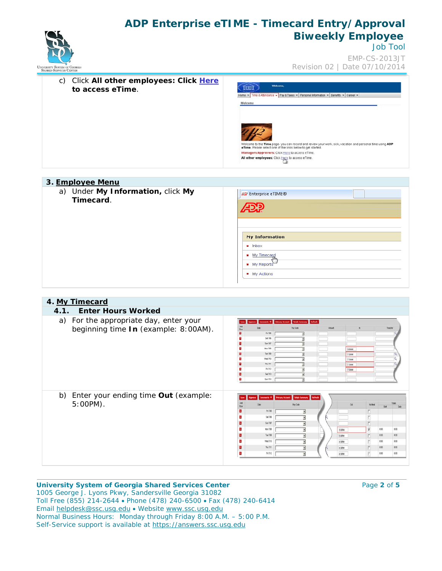# **ADP Enterprise eTIME - Timecard Entry/Approval Biweekly Employee**



Job Tool

EMP-CS-2013JT Revision 02 | Date 07/10/2014

| Click All other employees: Click Here<br>C)<br>to access eTime. | Welcome,<br>Home w Time & Attendance w Pay & Taxes w Personal Information w Benefits w Career w                |
|-----------------------------------------------------------------|----------------------------------------------------------------------------------------------------------------|
|                                                                 | Welcome                                                                                                        |
|                                                                 | Welcome to the Time page-you can record and review your work, sick, vacation and personal time using ADP       |
|                                                                 | eTime. Please select one of the links below to get started.<br>Managers/Approvers: Click Here to access eTime. |
|                                                                 | All other employees: Click HATE to access eTime.                                                               |

#### **3. Employee Menu**

a) Under **My Information,** click **My Timecard**.

| My Information       |  |
|----------------------|--|
|                      |  |
| $\blacksquare$ Inbox |  |
| My Timecard          |  |
| lΕη                  |  |
| My Reports<br>×      |  |
|                      |  |
| ■ My Actions         |  |

| 4. My Timecard                            |        |                        |                                                                    |              |               |                             |                                  |        |
|-------------------------------------------|--------|------------------------|--------------------------------------------------------------------|--------------|---------------|-----------------------------|----------------------------------|--------|
| <b>Enter Hours Worked</b><br>4.1.         |        |                        |                                                                    |              |               |                             |                                  |        |
| For the appropriate day, enter your<br>a) |        |                        | <b>Bafresh</b><br><b>Setals Summary</b><br><b>Westery Accessit</b> |              |               |                             |                                  |        |
| beginning time In (example: 8:00AM).      | Row    | Date                   | <b>Pay Code</b>                                                    | <b>Jewet</b> |               | ×                           | <b><i><u>Systematics</u></i></b> |        |
|                                           | B      | Fri 7.05               |                                                                    |              |               |                             |                                  |        |
|                                           | M.     | Sat 706                |                                                                    |              |               |                             |                                  |        |
|                                           | ø      | Sin 7.67               |                                                                    |              |               |                             |                                  |        |
|                                           | в      | Man 7.08               |                                                                    |              | 9.00AM        |                             |                                  |        |
|                                           | ø      | Tue 7.00               |                                                                    |              | 2,3388        |                             |                                  |        |
|                                           | ø      | Wed 270                | Ξ                                                                  |              | 7:30AM        |                             |                                  |        |
|                                           | B      | Thu Zint               |                                                                    |              | 7.30AM        |                             |                                  |        |
|                                           | B<br>a | fn2n2<br>54753         |                                                                    |              | <b>7:30AM</b> |                             |                                  |        |
|                                           |        |                        |                                                                    |              |               |                             |                                  |        |
|                                           | B      | Sun Tifle              | y                                                                  |              |               |                             |                                  |        |
| b) Enter your ending time Out (example:   |        | Comments <sup>-0</sup> | <b>Primary Account   Totals Summary   Refrest</b>                  |              |               |                             |                                  | Tobles |
| $5:00PM$ ).                               | Row    | Date                   | Pay Code                                                           |              | 0.t           | No Meal                     |                                  | Dall   |
|                                           | в      | Fri 7.65               |                                                                    |              |               | $\boxed{\square}$           |                                  |        |
|                                           | в      | Sat 7.06               |                                                                    |              |               | $\Box$                      |                                  |        |
|                                           | B      | Sun 7.07               |                                                                    |              |               |                             |                                  |        |
|                                           | B.     | Mon 7.08               |                                                                    |              | 5:00PM        | $\Box$                      | 8.00                             | 8.00   |
|                                           | в      | Tue 7.09               |                                                                    |              | 5:00PM        | $\overline{\mathbf{v}}$     | 8.30                             | 8.30   |
|                                           | B.     | Wed 7/10               |                                                                    |              | 4.30PM        | $\Box$                      | 800                              | 8.00   |
|                                           | в      | Thu 7/11               |                                                                    |              | 4:30PM        | $\overline{\Box}$<br>$\Box$ | 8.00                             | 8.00   |

#### **University System of Georgia Shared Services Center Page 2** of 5 1005 George J. Lyons Pkwy, Sandersville Georgia 31082 Toll Free (855) 214-2644 • Phone (478) 240-6500 • Fax (478) 240-6414 Email [helpdesk@ssc.usg.edu](mailto:helpdesk@ssc.usg.edu) • Website [www.ssc.usg.edu](http://www.ssc.usg.edu/) Normal Business Hours: Monday through Friday 8:00 A.M. – 5:00 P.M. Self-Service support is available at [https://answers.ssc.usg.edu](https://answers.ssc.usg.edu/)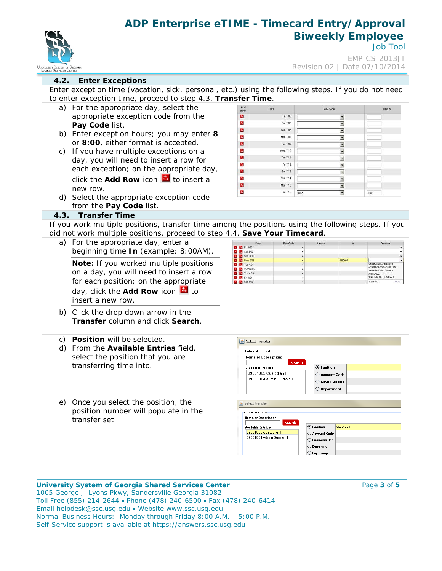

## **ADP Enterprise eTIME - Timecard Entry/Approval Biweekly Employee** Job Tool

EMP-CS-2013JT Revision 02 | Date 07/10/2014

| <b>SHARED SERVICES CENTER</b>                                                                                                                                                                         | LIV LUIVIT VZ<br>$U \cup U \cup U \cup U \cup U$                                                                                                                                                                                                                                                 |  |  |  |  |
|-------------------------------------------------------------------------------------------------------------------------------------------------------------------------------------------------------|--------------------------------------------------------------------------------------------------------------------------------------------------------------------------------------------------------------------------------------------------------------------------------------------------|--|--|--|--|
| 4.2.<br><b>Enter Exceptions</b>                                                                                                                                                                       |                                                                                                                                                                                                                                                                                                  |  |  |  |  |
| Enter exception time (vacation, sick, personal, etc.) using the following steps. If you do not need                                                                                                   |                                                                                                                                                                                                                                                                                                  |  |  |  |  |
| to enter exception time, proceed to step 4.3, Transfer Time.                                                                                                                                          |                                                                                                                                                                                                                                                                                                  |  |  |  |  |
| a) For the appropriate day, select the<br>appropriate exception code from the<br>Pay Code list.<br>Enter exception hours; you may enter 8<br>b)<br>or 8:00, either format is accepted.                | Date<br>Pay Code<br>Amount<br>Row<br>B,<br>Fri 7/05<br>×<br>E,<br>$\overline{\mathbf{v}}$<br>Set 7.06<br>в<br>⊻<br>Sun 7/07<br>в<br>$\overline{ }$<br>Mon 7.08<br>E.<br>Ξ<br>Tue 7/09                                                                                                            |  |  |  |  |
| If you have multiple exceptions on a<br>C)<br>day, you will need to insert a row for<br>each exception; on the appropriate day,<br>click the <b>Add Row</b> icon $\mathbf{B}$ to insert a<br>new row. | В,<br>$\overline{\phantom{a}}$<br>Wed 7/10<br>м<br>Thu 7/11<br>≖<br>E,<br>Fri 7/12<br>$\overline{\phantom{a}}$<br>B<br>$\overline{ }$<br>Sat 7/13<br>υ,<br>$\overline{\phantom{a}}$<br>Sun 7/14<br>B<br>$\overline{z}$<br>Mon 7/15<br>A,<br>Tue 7/16<br>$\overline{\phantom{a}}$<br>SICK<br>8.00 |  |  |  |  |
| d) Select the appropriate exception code<br>from the Pay Code list.                                                                                                                                   |                                                                                                                                                                                                                                                                                                  |  |  |  |  |
| 4.3.<br><b>Transfer Time</b>                                                                                                                                                                          |                                                                                                                                                                                                                                                                                                  |  |  |  |  |
| did not work multiple positions, proceed to step 4.4, Save Your Timecard.                                                                                                                             | If you work multiple positions, transfer time among the positions using the following steps. If you                                                                                                                                                                                              |  |  |  |  |
| a) For the appropriate day, enter a<br>beginning time In (example: 8:00AM).                                                                                                                           | Pay Code<br>Amount<br>Transfer<br><b>Ed</b> En 3/28<br><b>EX EX SW 3/28</b><br><b>EN</b> Sun 3/30                                                                                                                                                                                                |  |  |  |  |
| Note: If you worked multiple positions<br>on a day, you will need to insert a row<br>for each position; on the appropriate<br>day, click the Add Row icon $\frac{1}{2}$ to<br>insert a new row.       | 8 DOAM<br>Mon 3/3<br>64001469////0107803<br><b>M EX</b> Tue 4/01<br>/09BU-CH000//0188115/<br><b>M</b> Wed 4/02<br>$\mathbf{z}$<br>36001904/W/0039160/<br><b>23 25</b> Thu 403<br>ON CALL<br>CALL-IN NOT ON CALL<br>E Fri 4/04<br><b>ES &amp;B</b> Set 4.05<br>AH S                               |  |  |  |  |
| b) Click the drop down arrow in the<br>Transfer column and click Search.                                                                                                                              |                                                                                                                                                                                                                                                                                                  |  |  |  |  |
| <b>Position</b> will be selected.<br>C)<br>From the Available Entries field,<br>d)<br>select the position that you are<br>transferring time into.                                                     | Select Transfer<br>Labor Account<br><b>Name or Description:</b><br>Search<br><b>O</b> Position<br>Available Entries:<br>09001003, Custodian I<br>C Account Code<br>09001004, Admin Supvsr III<br>$\bigcirc$ Business Unit<br>O Department                                                        |  |  |  |  |
| e) Once you select the position, the<br>position number will populate in the<br>transfer set.                                                                                                         | Select Transfer<br>Labor Account<br><b>Name or Description:</b><br>Search<br>09001003<br>$\odot$ Position<br><b>Available Entries:</b><br>09001003, Custodian I<br>○ Account Code<br>09001004,Admin Supvsr III<br>◯ Business Unit<br>O Department<br>O Pay Group                                 |  |  |  |  |

#### **University System of Georgia Shared Services Center Page 1 8 and 5 and 5 and 7 and 7 and 7 and 7 and 7 and 7 and 7 and 7 and 7 and 7 and 7 and 7 and 7 and 7 and 7 and 7 and 7 and 7 and 7 and 7 and 7 and 7 and 7 and 7 an** 1005 George J. Lyons Pkwy, Sandersville Georgia 31082 Toll Free (855) 214-2644 • Phone (478) 240-6500 • Fax (478) 240-6414 Email [helpdesk@ssc.usg.edu](mailto:helpdesk@ssc.usg.edu) • Website [www.ssc.usg.edu](http://www.ssc.usg.edu/) Normal Business Hours: Monday through Friday 8:00 A.M. – 5:00 P.M. Self-Service support is available at [https://answers.ssc.usg.edu](https://answers.ssc.usg.edu/)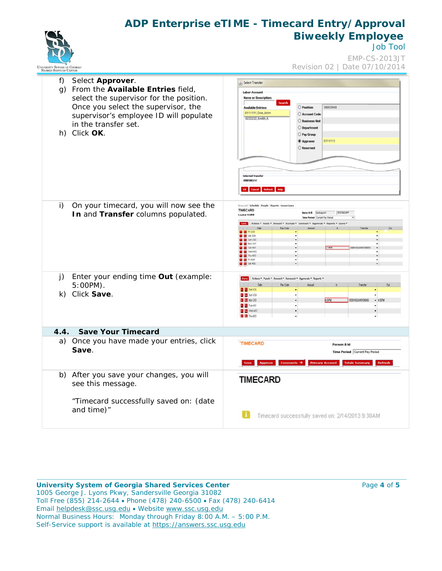## **ADP Enterprise eTIME - Timecard Entry/Approval Biweekly Employee** Job Tool



EMP-CS-2013JT Revision 02 | Date 07/10/2014

| f)<br>q)  | Select Approver.<br>From the Available Entries field,<br>select the supervisor for the position.<br>Once you select the supervisor, the<br>supervisor's employee ID will populate<br>in the transfer set.<br>h) Click OK. | Select Transfer<br><b>Labor Account</b><br><b>Name or Description:</b><br>Search<br>O Position<br>39002048<br><b>Available Entries:</b><br>0111111, Doe, John<br>○ Account Code<br>0222222.Smith.A<br>◯ Business Unit<br>O Department<br>O Pay Group<br>0111111<br>Approver<br>$\bigcirc$ Reserved<br><b>Selected Transfer</b><br>09001003/007<br>OK Cancel Refresh Help                                                                                                         |
|-----------|---------------------------------------------------------------------------------------------------------------------------------------------------------------------------------------------------------------------------|----------------------------------------------------------------------------------------------------------------------------------------------------------------------------------------------------------------------------------------------------------------------------------------------------------------------------------------------------------------------------------------------------------------------------------------------------------------------------------|
| i)        | On your timecard, you will now see the<br>In and Transfer columns populated.                                                                                                                                              | Timecard Schedule People Reports Leave Cases<br>TIMECARD<br>Name & D Testsignoff<br><b>TESTSIOOFF</b><br>Loaded: 1:14PM<br>Time Period Current Pay Period<br>Actions * Punch * Amount * Accruals * Comment * Approvals *<br>Reports * Leave *<br>Pay Code<br><b>EN FA308</b><br><b>B</b> B 34329<br><b>Ed La</b> Sun 3/30<br><b>E H</b> Mon 301<br><b>B</b> M Tue 401<br>09001003/00150605<br><b>B B</b> Wed 402<br><b>B M</b> Thu 4/03<br><b>Ed</b> Fri404<br><b>B</b> B Se 475 |
| j)<br>k). | Enter your ending time Out (example:<br>$5:00PM$ ).<br>Click Save.                                                                                                                                                        | Actions * Punch * Amount * Comment * Approvals * Reports *<br>Out<br>Date<br>Pay Code<br>Anount<br>Transfer<br><b>B</b> 5st 3/29<br><b>Ed Ed</b> Sun 300<br>4:54PM<br>09001003/000159905<br><b>Ed Mon 361</b><br>$+455M$<br><b>B M</b> Tue 401<br><b>B</b> Wed 402<br><b>B B</b> Thu 4/03                                                                                                                                                                                        |
| 4.4.      | <b>Save Your Timecard</b>                                                                                                                                                                                                 |                                                                                                                                                                                                                                                                                                                                                                                                                                                                                  |
|           | a) Once you have made your entries, click<br>Save.                                                                                                                                                                        | <b>TIMECARD</b><br>Person & Id<br>Time Period Current Pay Period<br>Comments $\Rightarrow$<br><b>Primary Account   Totals Summary   Refresh</b><br>Approve 1                                                                                                                                                                                                                                                                                                                     |
|           | b) After you save your changes, you will<br>see this message.                                                                                                                                                             | <b>TIMECARD</b>                                                                                                                                                                                                                                                                                                                                                                                                                                                                  |
|           | "Timecard successfully saved on: (date<br>and time)"                                                                                                                                                                      | Timecard successfully saved on: 2/14/2013 9:30AM                                                                                                                                                                                                                                                                                                                                                                                                                                 |

**University System of Georgia Shared Services Center Page 4** of 5 1005 George J. Lyons Pkwy, Sandersville Georgia 31082 Toll Free (855) 214-2644 • Phone (478) 240-6500 • Fax (478) 240-6414 Email [helpdesk@ssc.usg.edu](mailto:helpdesk@ssc.usg.edu) • Website [www.ssc.usg.edu](http://www.ssc.usg.edu/) Normal Business Hours: Monday through Friday 8:00 A.M. – 5:00 P.M. Self-Service support is available at [https://answers.ssc.usg.edu](https://answers.ssc.usg.edu/)